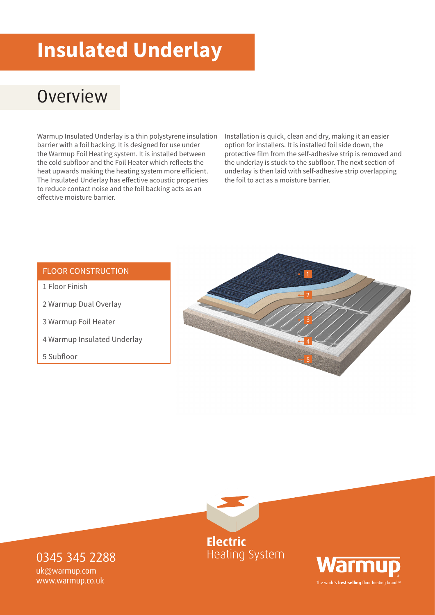# **Insulated Underlay**

## **Overview**

Warmup Insulated Underlay is a thin polystyrene insulation barrier with a foil backing. It is designed for use under the Warmup Foil Heating system. It is installed between the cold subfloor and the Foil Heater which reflects the heat upwards making the heating system more efficient. The Insulated Underlay has effective acoustic properties to reduce contact noise and the foil backing acts as an effective moisture barrier.

Installation is quick, clean and dry, making it an easier option for installers. It is installed foil side down, the protective film from the self-adhesive strip is removed and the underlay is stuck to the subfloor. The next section of underlay is then laid with self-adhesive strip overlapping the foil to act as a moisture barrier.

#### FLOOR CONSTRUCTION

- 1 Floor Finish
- 2 Warmup Dual Overlay
- 3 Warmup Foil Heater
- 4 Warmup Insulated Underlay
- 5 Subfloor





**Heating System** 



0345 345 2288 uk@warmup.com

www.warmup.co.uk